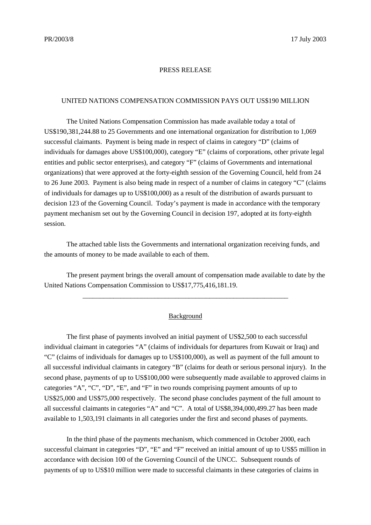## PRESS RELEASE

## UNITED NATIONS COMPENSATION COMMISSION PAYS OUT US\$190 MILLION

The United Nations Compensation Commission has made available today a total of US\$190,381,244.88 to 25 Governments and one international organization for distribution to 1,069 successful claimants. Payment is being made in respect of claims in category "D" (claims of individuals for damages above US\$100,000), category "E" (claims of corporations, other private legal entities and public sector enterprises), and category "F" (claims of Governments and international organizations) that were approved at the forty-eighth session of the Governing Council, held from 24 to 26 June 2003. Payment is also being made in respect of a number of claims in category "C" (claims of individuals for damages up to US\$100,000) as a result of the distribution of awards pursuant to decision 123 of the Governing Council. Today's payment is made in accordance with the temporary payment mechanism set out by the Governing Council in decision 197, adopted at its forty-eighth session.

The attached table lists the Governments and international organization receiving funds, and the amounts of money to be made available to each of them.

The present payment brings the overall amount of compensation made available to date by the United Nations Compensation Commission to US\$17,775,416,181.19.

\_\_\_\_\_\_\_\_\_\_\_\_\_\_\_\_\_\_\_\_\_\_\_\_\_\_\_\_\_\_\_\_\_\_\_\_\_\_\_\_\_\_\_\_\_\_\_\_\_\_\_\_\_\_\_\_\_\_\_\_

## **Background**

The first phase of payments involved an initial payment of US\$2,500 to each successful individual claimant in categories "A" (claims of individuals for departures from Kuwait or Iraq) and "C" (claims of individuals for damages up to US\$100,000), as well as payment of the full amount to all successful individual claimants in category "B" (claims for death or serious personal injury). In the second phase, payments of up to US\$100,000 were subsequently made available to approved claims in categories "A", "C", "D", "E", and "F" in two rounds comprising payment amounts of up to US\$25,000 and US\$75,000 respectively. The second phase concludes payment of the full amount to all successful claimants in categories "A" and "C". A total of US\$8,394,000,499.27 has been made available to 1,503,191 claimants in all categories under the first and second phases of payments.

In the third phase of the payments mechanism, which commenced in October 2000, each successful claimant in categories "D", "E" and "F" received an initial amount of up to US\$5 million in accordance with decision 100 of the Governing Council of the UNCC. Subsequent rounds of payments of up to US\$10 million were made to successful claimants in these categories of claims in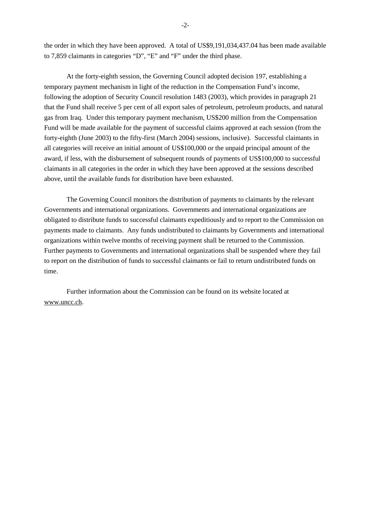the order in which they have been approved. A total of US\$9,191,034,437.04 has been made available to 7,859 claimants in categories "D", "E" and "F" under the third phase.

At the forty-eighth session, the Governing Council adopted decision 197, establishing a temporary payment mechanism in light of the reduction in the Compensation Fund's income, following the adoption of Security Council resolution 1483 (2003), which provides in paragraph 21 that the Fund shall receive 5 per cent of all export sales of petroleum, petroleum products, and natural gas from Iraq. Under this temporary payment mechanism, US\$200 million from the Compensation Fund will be made available for the payment of successful claims approved at each session (from the forty-eighth (June 2003) to the fifty-first (March 2004) sessions, inclusive). Successful claimants in all categories will receive an initial amount of US\$100,000 or the unpaid principal amount of the award, if less, with the disbursement of subsequent rounds of payments of US\$100,000 to successful claimants in all categories in the order in which they have been approved at the sessions described above, until the available funds for distribution have been exhausted.

The Governing Council monitors the distribution of payments to claimants by the relevant Governments and international organizations. Governments and international organizations are obligated to distribute funds to successful claimants expeditiously and to report to the Commission on payments made to claimants. Any funds undistributed to claimants by Governments and international organizations within twelve months of receiving payment shall be returned to the Commission. Further payments to Governments and international organizations shall be suspended where they fail to report on the distribution of funds to successful claimants or fail to return undistributed funds on time.

Further information about the Commission can be found on its website located at www.uncc.ch.